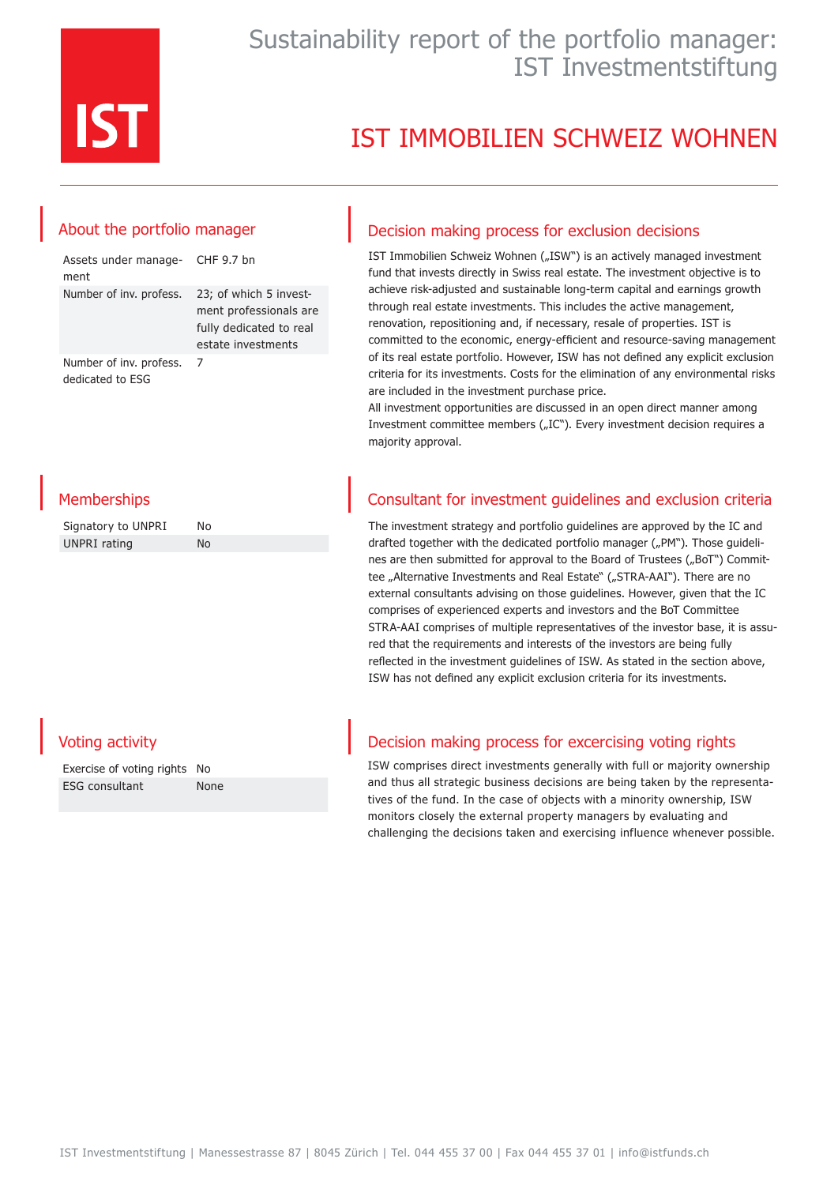

### Sustainability report of the portfolio manager: IST Investmentstiftung

## IST IMMOBILIEN SCHWEIZ WOHNEN

### About the portfolio manager

| Assets under manage- CHF 9.7 bn<br>ment     |                                                                                                   |
|---------------------------------------------|---------------------------------------------------------------------------------------------------|
| Number of inv. profess.                     | 23; of which 5 invest-<br>ment professionals are<br>fully dedicated to real<br>estate investments |
| Number of inv. profess.<br>dedicated to ESG |                                                                                                   |

**Memberships** 

| Signatory to UNPRI | N٥  |
|--------------------|-----|
| UNPRI rating       | No. |

### Decision making process for exclusion decisions

IST Immobilien Schweiz Wohnen ("ISW") is an actively managed investment fund that invests directly in Swiss real estate. The investment objective is to achieve risk-adjusted and sustainable long-term capital and earnings growth through real estate investments. This includes the active management, renovation, repositioning and, if necessary, resale of properties. IST is committed to the economic, energy-efficient and resource-saving management of its real estate portfolio. However, ISW has not defined any explicit exclusion criteria for its investments. Costs for the elimination of any environmental risks are included in the investment purchase price.

All investment opportunities are discussed in an open direct manner among Investment committee members ("IC"). Every investment decision requires a majority approval.

### Consultant for investment guidelines and exclusion criteria

The investment strategy and portfolio guidelines are approved by the IC and drafted together with the dedicated portfolio manager ("PM"). Those guidelines are then submitted for approval to the Board of Trustees ("BoT") Committee "Alternative Investments and Real Estate" ("STRA-AAI"). There are no external consultants advising on those guidelines. However, given that the IC comprises of experienced experts and investors and the BoT Committee STRA-AAI comprises of multiple representatives of the investor base, it is assured that the requirements and interests of the investors are being fully reflected in the investment guidelines of ISW. As stated in the section above, ISW has not defined any explicit exclusion criteria for its investments.

### Voting activity

| Exercise of voting rights No |      |
|------------------------------|------|
| <b>ESG</b> consultant        | None |

#### Decision making process for excercising voting rights

ISW comprises direct investments generally with full or majority ownership and thus all strategic business decisions are being taken by the representatives of the fund. In the case of objects with a minority ownership, ISW monitors closely the external property managers by evaluating and challenging the decisions taken and exercising influence whenever possible.